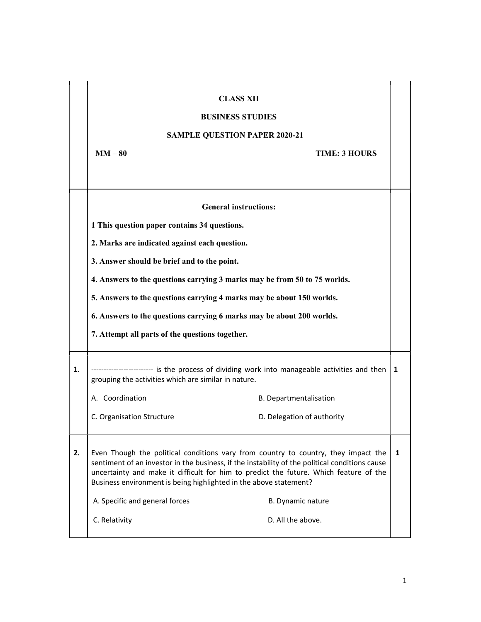|    | <b>CLASS XII</b><br><b>BUSINESS STUDIES</b><br><b>SAMPLE QUESTION PAPER 2020-21</b>                                                                                                                                                                                                                                                                |                            |   |
|----|----------------------------------------------------------------------------------------------------------------------------------------------------------------------------------------------------------------------------------------------------------------------------------------------------------------------------------------------------|----------------------------|---|
|    | $MM-80$                                                                                                                                                                                                                                                                                                                                            | <b>TIME: 3 HOURS</b>       |   |
|    | <b>General instructions:</b>                                                                                                                                                                                                                                                                                                                       |                            |   |
|    | 1 This question paper contains 34 questions.                                                                                                                                                                                                                                                                                                       |                            |   |
|    | 2. Marks are indicated against each question.                                                                                                                                                                                                                                                                                                      |                            |   |
|    | 3. Answer should be brief and to the point.                                                                                                                                                                                                                                                                                                        |                            |   |
|    | 4. Answers to the questions carrying 3 marks may be from 50 to 75 worlds.                                                                                                                                                                                                                                                                          |                            |   |
|    | 5. Answers to the questions carrying 4 marks may be about 150 worlds.                                                                                                                                                                                                                                                                              |                            |   |
|    | 6. Answers to the questions carrying 6 marks may be about 200 worlds.                                                                                                                                                                                                                                                                              |                            |   |
|    | 7. Attempt all parts of the questions together.                                                                                                                                                                                                                                                                                                    |                            |   |
| 1. | ------------ is the process of dividing work into manageable activities and then<br>grouping the activities which are similar in nature.                                                                                                                                                                                                           |                            | 1 |
|    | A. Coordination                                                                                                                                                                                                                                                                                                                                    | B. Departmentalisation     |   |
|    | C. Organisation Structure                                                                                                                                                                                                                                                                                                                          | D. Delegation of authority |   |
| 2. | Even Though the political conditions vary from country to country, they impact the<br>sentiment of an investor in the business, if the instability of the political conditions cause<br>uncertainty and make it difficult for him to predict the future. Which feature of the<br>Business environment is being highlighted in the above statement? |                            | 1 |
|    | A. Specific and general forces                                                                                                                                                                                                                                                                                                                     | B. Dynamic nature          |   |
|    | C. Relativity                                                                                                                                                                                                                                                                                                                                      | D. All the above.          |   |
|    |                                                                                                                                                                                                                                                                                                                                                    |                            |   |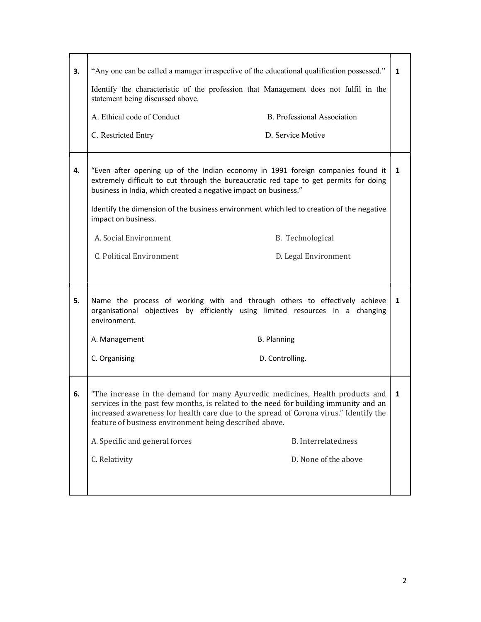| 3. | "Any one can be called a manager irrespective of the educational qualification possessed."<br>Identify the characteristic of the profession that Management does not fulfil in the<br>statement being discussed above.<br>A. Ethical code of Conduct<br>C. Restricted Entry                                                                                                                                          | <b>B.</b> Professional Association<br>D. Service Motive | $\mathbf{1}$ |
|----|----------------------------------------------------------------------------------------------------------------------------------------------------------------------------------------------------------------------------------------------------------------------------------------------------------------------------------------------------------------------------------------------------------------------|---------------------------------------------------------|--------------|
| 4. | "Even after opening up of the Indian economy in 1991 foreign companies found it<br>extremely difficult to cut through the bureaucratic red tape to get permits for doing<br>business in India, which created a negative impact on business."<br>Identify the dimension of the business environment which led to creation of the negative<br>impact on business.<br>A. Social Environment<br>C. Political Environment | B. Technological<br>D. Legal Environment                | 1            |
| 5. | Name the process of working with and through others to effectively achieve<br>organisational objectives by efficiently using limited resources in a changing<br>environment.<br>A. Management<br>C. Organising                                                                                                                                                                                                       | <b>B. Planning</b><br>D. Controlling.                   | 1            |
| 6. | "The increase in the demand for many Ayurvedic medicines, Health products and<br>services in the past few months, is related to the need for building immunity and an<br>increased awareness for health care due to the spread of Corona virus." Identify the<br>feature of business environment being described above.<br>A. Specific and general forces<br>C. Relativity                                           | <b>B.</b> Interrelatedness<br>D. None of the above      | $\mathbf{1}$ |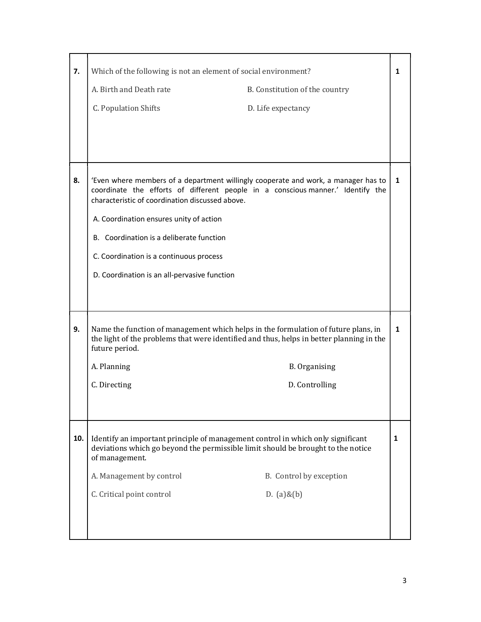| 7.  | Which of the following is not an element of social environment?                                                                                                                                                          |                                | 1 |
|-----|--------------------------------------------------------------------------------------------------------------------------------------------------------------------------------------------------------------------------|--------------------------------|---|
|     | A. Birth and Death rate                                                                                                                                                                                                  | B. Constitution of the country |   |
|     | C. Population Shifts                                                                                                                                                                                                     | D. Life expectancy             |   |
|     |                                                                                                                                                                                                                          |                                |   |
|     |                                                                                                                                                                                                                          |                                |   |
|     |                                                                                                                                                                                                                          |                                |   |
| 8.  | 'Even where members of a department willingly cooperate and work, a manager has to<br>coordinate the efforts of different people in a conscious manner.' Identify the<br>characteristic of coordination discussed above. |                                | 1 |
|     | A. Coordination ensures unity of action                                                                                                                                                                                  |                                |   |
|     | B. Coordination is a deliberate function                                                                                                                                                                                 |                                |   |
|     | C. Coordination is a continuous process                                                                                                                                                                                  |                                |   |
|     | D. Coordination is an all-pervasive function                                                                                                                                                                             |                                |   |
|     |                                                                                                                                                                                                                          |                                |   |
|     |                                                                                                                                                                                                                          |                                |   |
| 9.  | Name the function of management which helps in the formulation of future plans, in<br>the light of the problems that were identified and thus, helps in better planning in the<br>future period.                         |                                | 1 |
|     | A. Planning                                                                                                                                                                                                              | <b>B.</b> Organising           |   |
|     | C. Directing                                                                                                                                                                                                             | D. Controlling                 |   |
|     |                                                                                                                                                                                                                          |                                |   |
|     |                                                                                                                                                                                                                          |                                |   |
| 10. | Identify an important principle of management control in which only significant<br>deviations which go beyond the permissible limit should be brought to the notice<br>of management.                                    |                                | 1 |
|     | A. Management by control                                                                                                                                                                                                 | B. Control by exception        |   |
|     | C. Critical point control                                                                                                                                                                                                | D. $(a)$ & $(b)$               |   |
|     |                                                                                                                                                                                                                          |                                |   |
|     |                                                                                                                                                                                                                          |                                |   |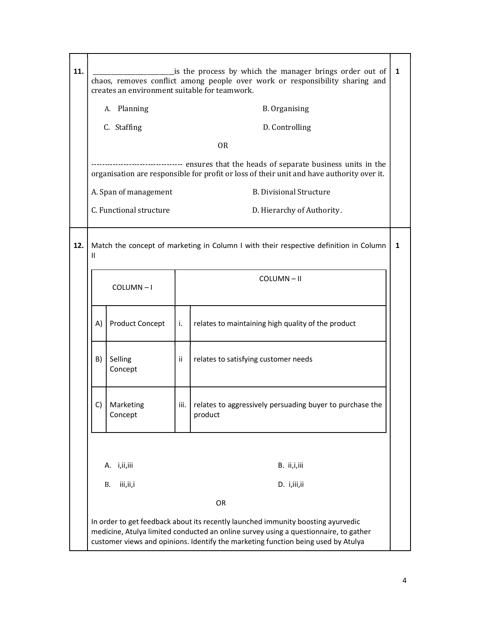| 11.                  | is the process by which the manager brings order out of<br>chaos, removes conflict among people over work or responsibility sharing and<br>creates an environment suitable for teamwork. |                         |    | 1                                                                                                                                                                                                                                                             |  |
|----------------------|------------------------------------------------------------------------------------------------------------------------------------------------------------------------------------------|-------------------------|----|---------------------------------------------------------------------------------------------------------------------------------------------------------------------------------------------------------------------------------------------------------------|--|
|                      |                                                                                                                                                                                          | A. Planning             |    | <b>B.</b> Organising                                                                                                                                                                                                                                          |  |
|                      |                                                                                                                                                                                          | C. Staffing             |    | D. Controlling                                                                                                                                                                                                                                                |  |
|                      |                                                                                                                                                                                          |                         |    | <b>OR</b>                                                                                                                                                                                                                                                     |  |
|                      | ---- ensures that the heads of separate business units in the<br>organisation are responsible for profit or loss of their unit and have authority over it.                               |                         |    |                                                                                                                                                                                                                                                               |  |
|                      |                                                                                                                                                                                          | A. Span of management   |    | <b>B. Divisional Structure</b>                                                                                                                                                                                                                                |  |
|                      |                                                                                                                                                                                          | C. Functional structure |    | D. Hierarchy of Authority.                                                                                                                                                                                                                                    |  |
| 12.<br>$\mathbf{II}$ | Match the concept of marketing in Column I with their respective definition in Column<br>COLUMN-II<br>$COLUTIONN - I$                                                                    |                         | 1  |                                                                                                                                                                                                                                                               |  |
|                      |                                                                                                                                                                                          |                         |    |                                                                                                                                                                                                                                                               |  |
|                      | A)                                                                                                                                                                                       | <b>Product Concept</b>  | i. | relates to maintaining high quality of the product                                                                                                                                                                                                            |  |
|                      | B)                                                                                                                                                                                       | Selling<br>Concept      | ii | relates to satisfying customer needs                                                                                                                                                                                                                          |  |
|                      | C)                                                                                                                                                                                       | Marketing<br>Concept    |    | iii.   relates to aggressively persuading buyer to purchase the<br>product                                                                                                                                                                                    |  |
|                      |                                                                                                                                                                                          | A. i,ii,iii             |    | B. ii,i,iii                                                                                                                                                                                                                                                   |  |
|                      | <b>B.</b>                                                                                                                                                                                | iii,ii,i                |    | D. i,iii,ii                                                                                                                                                                                                                                                   |  |
|                      |                                                                                                                                                                                          |                         |    | OR                                                                                                                                                                                                                                                            |  |
|                      |                                                                                                                                                                                          |                         |    | In order to get feedback about its recently launched immunity boosting ayurvedic<br>medicine, Atulya limited conducted an online survey using a questionnaire, to gather<br>customer views and opinions. Identify the marketing function being used by Atulya |  |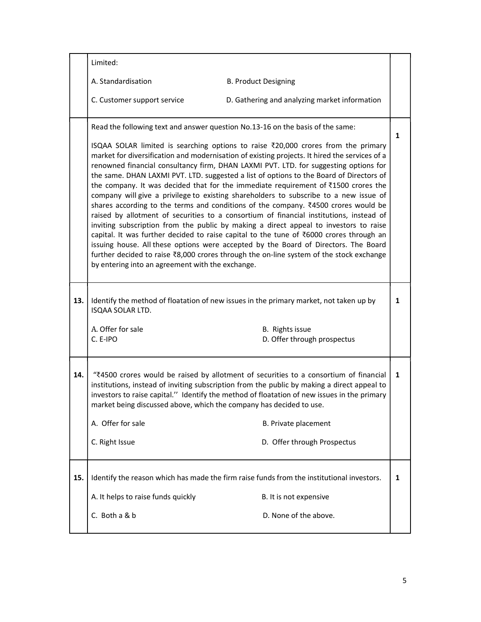|     | Limited:                                                                                                                                                                                                                                                                                                                                                                                                                                                 |                                                                                                                                                                                                                                                                                                                                                                                                                                                                                                                                                                                                                                                                                                                                                                                                                                                                                                                                                                                                                                                                                                                                                                                                               |              |
|-----|----------------------------------------------------------------------------------------------------------------------------------------------------------------------------------------------------------------------------------------------------------------------------------------------------------------------------------------------------------------------------------------------------------------------------------------------------------|---------------------------------------------------------------------------------------------------------------------------------------------------------------------------------------------------------------------------------------------------------------------------------------------------------------------------------------------------------------------------------------------------------------------------------------------------------------------------------------------------------------------------------------------------------------------------------------------------------------------------------------------------------------------------------------------------------------------------------------------------------------------------------------------------------------------------------------------------------------------------------------------------------------------------------------------------------------------------------------------------------------------------------------------------------------------------------------------------------------------------------------------------------------------------------------------------------------|--------------|
|     | A. Standardisation                                                                                                                                                                                                                                                                                                                                                                                                                                       | <b>B. Product Designing</b>                                                                                                                                                                                                                                                                                                                                                                                                                                                                                                                                                                                                                                                                                                                                                                                                                                                                                                                                                                                                                                                                                                                                                                                   |              |
|     | C. Customer support service                                                                                                                                                                                                                                                                                                                                                                                                                              | D. Gathering and analyzing market information                                                                                                                                                                                                                                                                                                                                                                                                                                                                                                                                                                                                                                                                                                                                                                                                                                                                                                                                                                                                                                                                                                                                                                 |              |
|     | by entering into an agreement with the exchange.                                                                                                                                                                                                                                                                                                                                                                                                         | Read the following text and answer question No.13-16 on the basis of the same:<br>ISQAA SOLAR limited is searching options to raise ₹20,000 crores from the primary<br>market for diversification and modernisation of existing projects. It hired the services of a<br>renowned financial consultancy firm, DHAN LAXMI PVT. LTD. for suggesting options for<br>the same. DHAN LAXMI PVT. LTD. suggested a list of options to the Board of Directors of<br>the company. It was decided that for the immediate requirement of ₹1500 crores the<br>company will give a privilege to existing shareholders to subscribe to a new issue of<br>shares according to the terms and conditions of the company. $\overline{\xi}$ 4500 crores would be<br>raised by allotment of securities to a consortium of financial institutions, instead of<br>inviting subscription from the public by making a direct appeal to investors to raise<br>capital. It was further decided to raise capital to the tune of ₹6000 crores through an<br>issuing house. All these options were accepted by the Board of Directors. The Board<br>further decided to raise ₹8,000 crores through the on-line system of the stock exchange | $\mathbf{1}$ |
| 13. | ISQAA SOLAR LTD.                                                                                                                                                                                                                                                                                                                                                                                                                                         | Identify the method of floatation of new issues in the primary market, not taken up by                                                                                                                                                                                                                                                                                                                                                                                                                                                                                                                                                                                                                                                                                                                                                                                                                                                                                                                                                                                                                                                                                                                        | $\mathbf{1}$ |
|     | A. Offer for sale<br>C. E-IPO                                                                                                                                                                                                                                                                                                                                                                                                                            | B. Rights issue<br>D. Offer through prospectus                                                                                                                                                                                                                                                                                                                                                                                                                                                                                                                                                                                                                                                                                                                                                                                                                                                                                                                                                                                                                                                                                                                                                                |              |
| 14. | "₹4500 crores would be raised by allotment of securities to a consortium of financial<br>institutions, instead of inviting subscription from the public by making a direct appeal to<br>investors to raise capital." Identify the method of floatation of new issues in the primary<br>market being discussed above, which the company has decided to use.<br>A. Offer for sale<br>B. Private placement<br>C. Right Issue<br>D. Offer through Prospectus |                                                                                                                                                                                                                                                                                                                                                                                                                                                                                                                                                                                                                                                                                                                                                                                                                                                                                                                                                                                                                                                                                                                                                                                                               | 1            |
| 15. | Identify the reason which has made the firm raise funds from the institutional investors.                                                                                                                                                                                                                                                                                                                                                                |                                                                                                                                                                                                                                                                                                                                                                                                                                                                                                                                                                                                                                                                                                                                                                                                                                                                                                                                                                                                                                                                                                                                                                                                               | 1            |
|     | A. It helps to raise funds quickly                                                                                                                                                                                                                                                                                                                                                                                                                       | B. It is not expensive                                                                                                                                                                                                                                                                                                                                                                                                                                                                                                                                                                                                                                                                                                                                                                                                                                                                                                                                                                                                                                                                                                                                                                                        |              |
|     | C. Both a & b                                                                                                                                                                                                                                                                                                                                                                                                                                            | D. None of the above.                                                                                                                                                                                                                                                                                                                                                                                                                                                                                                                                                                                                                                                                                                                                                                                                                                                                                                                                                                                                                                                                                                                                                                                         |              |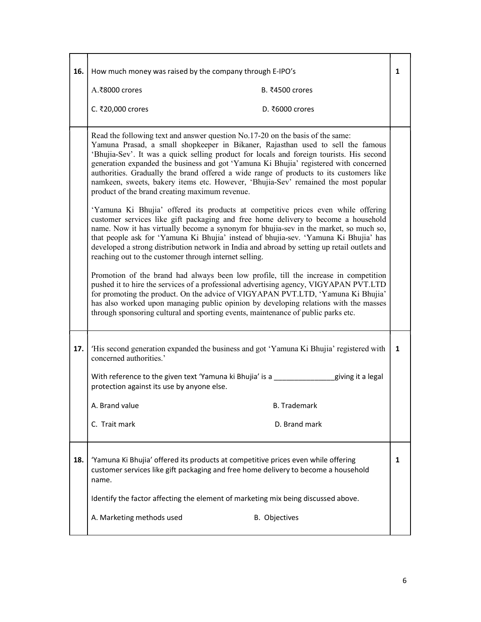| 16. | How much money was raised by the company through E-IPO's                                                                                                                                                                                                                                                                                                                                                                                                                                                                                                                                  |   |  |
|-----|-------------------------------------------------------------------------------------------------------------------------------------------------------------------------------------------------------------------------------------------------------------------------------------------------------------------------------------------------------------------------------------------------------------------------------------------------------------------------------------------------------------------------------------------------------------------------------------------|---|--|
|     | A.₹8000 crores<br>B. ₹4500 crores                                                                                                                                                                                                                                                                                                                                                                                                                                                                                                                                                         |   |  |
|     | C. ₹20,000 crores<br>D. ₹6000 crores                                                                                                                                                                                                                                                                                                                                                                                                                                                                                                                                                      |   |  |
|     | Read the following text and answer question No.17-20 on the basis of the same:<br>Yamuna Prasad, a small shopkeeper in Bikaner, Rajasthan used to sell the famous<br>'Bhujia-Sev'. It was a quick selling product for locals and foreign tourists. His second<br>generation expanded the business and got 'Yamuna Ki Bhujia' registered with concerned<br>authorities. Gradually the brand offered a wide range of products to its customers like<br>namkeen, sweets, bakery items etc. However, 'Bhujia-Sev' remained the most popular<br>product of the brand creating maximum revenue. |   |  |
|     | 'Yamuna Ki Bhujia' offered its products at competitive prices even while offering<br>customer services like gift packaging and free home delivery to become a household<br>name. Now it has virtually become a synonym for bhujia-sev in the market, so much so,<br>that people ask for 'Yamuna Ki Bhujia' instead of bhujia-sev. 'Yamuna Ki Bhujia' has<br>developed a strong distribution network in India and abroad by setting up retail outlets and<br>reaching out to the customer through internet selling.                                                                        |   |  |
|     | Promotion of the brand had always been low profile, till the increase in competition<br>pushed it to hire the services of a professional advertising agency, VIGYAPAN PVT.LTD<br>for promoting the product. On the advice of VIGYAPAN PVT.LTD, 'Yamuna Ki Bhujia'<br>has also worked upon managing public opinion by developing relations with the masses<br>through sponsoring cultural and sporting events, maintenance of public parks etc.                                                                                                                                            |   |  |
| 17. | 'His second generation expanded the business and got 'Yamuna Ki Bhujia' registered with<br>concerned authorities.'                                                                                                                                                                                                                                                                                                                                                                                                                                                                        | 1 |  |
|     | With reference to the given text 'Yamuna ki Bhujia' is a _____________<br>giving it a legal<br>protection against its use by anyone else.                                                                                                                                                                                                                                                                                                                                                                                                                                                 |   |  |
|     | A. Brand value<br><b>B.</b> Trademark                                                                                                                                                                                                                                                                                                                                                                                                                                                                                                                                                     |   |  |
|     | C. Trait mark<br>D. Brand mark                                                                                                                                                                                                                                                                                                                                                                                                                                                                                                                                                            |   |  |
| 18. | 'Yamuna Ki Bhujia' offered its products at competitive prices even while offering<br>customer services like gift packaging and free home delivery to become a household<br>name.                                                                                                                                                                                                                                                                                                                                                                                                          |   |  |
|     | Identify the factor affecting the element of marketing mix being discussed above.                                                                                                                                                                                                                                                                                                                                                                                                                                                                                                         |   |  |
|     | A. Marketing methods used<br><b>B.</b> Objectives                                                                                                                                                                                                                                                                                                                                                                                                                                                                                                                                         |   |  |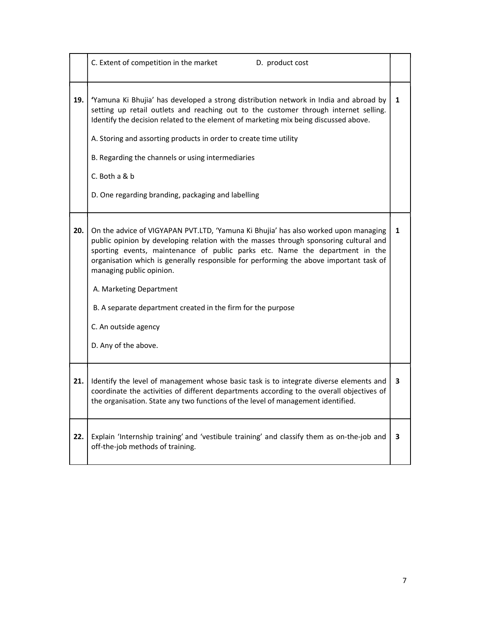|     | C. Extent of competition in the market<br>D. product cost                                                                                                                                                                                                                                                                                                                                                                                                                                                                     |              |
|-----|-------------------------------------------------------------------------------------------------------------------------------------------------------------------------------------------------------------------------------------------------------------------------------------------------------------------------------------------------------------------------------------------------------------------------------------------------------------------------------------------------------------------------------|--------------|
| 19. | 'Yamuna Ki Bhujia' has developed a strong distribution network in India and abroad by<br>setting up retail outlets and reaching out to the customer through internet selling.<br>Identify the decision related to the element of marketing mix being discussed above.<br>A. Storing and assorting products in order to create time utility<br>B. Regarding the channels or using intermediaries<br>C. Both a & b<br>D. One regarding branding, packaging and labelling                                                        | $\mathbf{1}$ |
| 20. | On the advice of VIGYAPAN PVT.LTD, 'Yamuna Ki Bhujia' has also worked upon managing<br>public opinion by developing relation with the masses through sponsoring cultural and<br>sporting events, maintenance of public parks etc. Name the department in the<br>organisation which is generally responsible for performing the above important task of<br>managing public opinion.<br>A. Marketing Department<br>B. A separate department created in the firm for the purpose<br>C. An outside agency<br>D. Any of the above. | 1            |
| 21. | Identify the level of management whose basic task is to integrate diverse elements and<br>coordinate the activities of different departments according to the overall objectives of<br>the organisation. State any two functions of the level of management identified.                                                                                                                                                                                                                                                       | 3            |
| 22. | Explain 'Internship training' and 'vestibule training' and classify them as on-the-job and<br>off-the-job methods of training.                                                                                                                                                                                                                                                                                                                                                                                                | 3            |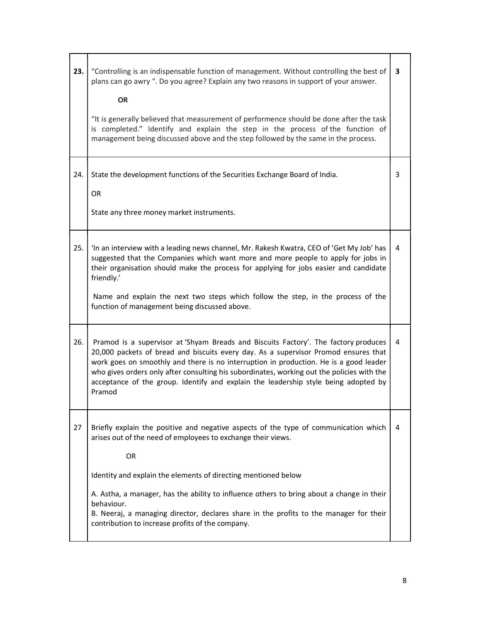| 23. | "Controlling is an indispensable function of management. Without controlling the best of<br>plans can go awry ". Do you agree? Explain any two reasons in support of your answer.<br><b>OR</b><br>"It is generally believed that measurement of performence should be done after the task<br>is completed." Identify and explain the step in the process of the function of<br>management being discussed above and the step followed by the same in the process.                     | 3 |
|-----|---------------------------------------------------------------------------------------------------------------------------------------------------------------------------------------------------------------------------------------------------------------------------------------------------------------------------------------------------------------------------------------------------------------------------------------------------------------------------------------|---|
| 24. | State the development functions of the Securities Exchange Board of India.<br>OR<br>State any three money market instruments.                                                                                                                                                                                                                                                                                                                                                         | 3 |
| 25. | 'In an interview with a leading news channel, Mr. Rakesh Kwatra, CEO of 'Get My Job' has<br>suggested that the Companies which want more and more people to apply for jobs in<br>their organisation should make the process for applying for jobs easier and candidate<br>friendly.'<br>Name and explain the next two steps which follow the step, in the process of the<br>function of management being discussed above.                                                             | 4 |
| 26. | Pramod is a supervisor at 'Shyam Breads and Biscuits Factory'. The factory produces<br>20,000 packets of bread and biscuits every day. As a supervisor Promod ensures that<br>work goes on smoothly and there is no interruption in production. He is a good leader<br>who gives orders only after consulting his subordinates, working out the policies with the<br>acceptance of the group. Identify and explain the leadership style being adopted by<br>Pramod                    | 4 |
| 27  | Briefly explain the positive and negative aspects of the type of communication which<br>arises out of the need of employees to exchange their views.<br>OR<br>Identity and explain the elements of directing mentioned below<br>A. Astha, a manager, has the ability to influence others to bring about a change in their<br>behaviour.<br>B. Neeraj, a managing director, declares share in the profits to the manager for their<br>contribution to increase profits of the company. | 4 |

г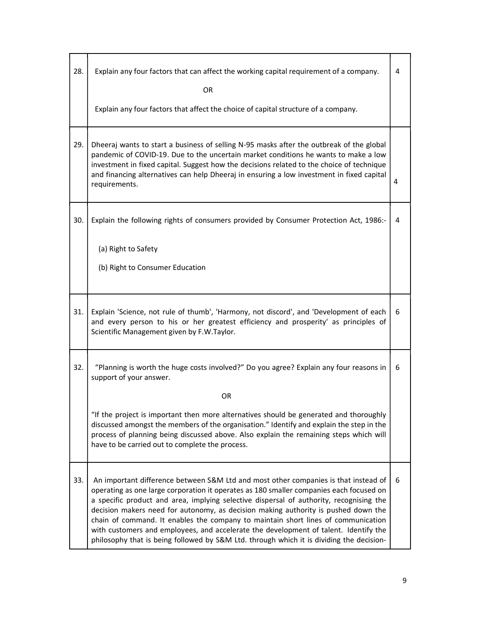| 28. | Explain any four factors that can affect the working capital requirement of a company.<br><b>OR</b>                                                                                                                                                                                                                                                                                                                                                                                                                                                                                                                                      |   |
|-----|------------------------------------------------------------------------------------------------------------------------------------------------------------------------------------------------------------------------------------------------------------------------------------------------------------------------------------------------------------------------------------------------------------------------------------------------------------------------------------------------------------------------------------------------------------------------------------------------------------------------------------------|---|
|     | Explain any four factors that affect the choice of capital structure of a company.                                                                                                                                                                                                                                                                                                                                                                                                                                                                                                                                                       |   |
| 29. | Dheeraj wants to start a business of selling N-95 masks after the outbreak of the global<br>pandemic of COVID-19. Due to the uncertain market conditions he wants to make a low<br>investment in fixed capital. Suggest how the decisions related to the choice of technique<br>and financing alternatives can help Dheeraj in ensuring a low investment in fixed capital<br>requirements.                                                                                                                                                                                                                                               | 4 |
| 30. | Explain the following rights of consumers provided by Consumer Protection Act, 1986:-                                                                                                                                                                                                                                                                                                                                                                                                                                                                                                                                                    | 4 |
|     | (a) Right to Safety<br>(b) Right to Consumer Education                                                                                                                                                                                                                                                                                                                                                                                                                                                                                                                                                                                   |   |
| 31. | Explain 'Science, not rule of thumb', 'Harmony, not discord', and 'Development of each<br>and every person to his or her greatest efficiency and prosperity' as principles of<br>Scientific Management given by F.W.Taylor.                                                                                                                                                                                                                                                                                                                                                                                                              | 6 |
| 32. | "Planning is worth the huge costs involved?" Do you agree? Explain any four reasons in<br>support of your answer.                                                                                                                                                                                                                                                                                                                                                                                                                                                                                                                        | 6 |
|     | <b>OR</b>                                                                                                                                                                                                                                                                                                                                                                                                                                                                                                                                                                                                                                |   |
|     | "If the project is important then more alternatives should be generated and thoroughly<br>discussed amongst the members of the organisation." Identify and explain the step in the<br>process of planning being discussed above. Also explain the remaining steps which will<br>have to be carried out to complete the process.                                                                                                                                                                                                                                                                                                          |   |
| 33. | An important difference between S&M Ltd and most other companies is that instead of<br>operating as one large corporation it operates as 180 smaller companies each focused on<br>a specific product and area, implying selective dispersal of authority, recognising the<br>decision makers need for autonomy, as decision making authority is pushed down the<br>chain of command. It enables the company to maintain short lines of communication<br>with customers and employees, and accelerate the development of talent. Identify the<br>philosophy that is being followed by S&M Ltd. through which it is dividing the decision- | 6 |